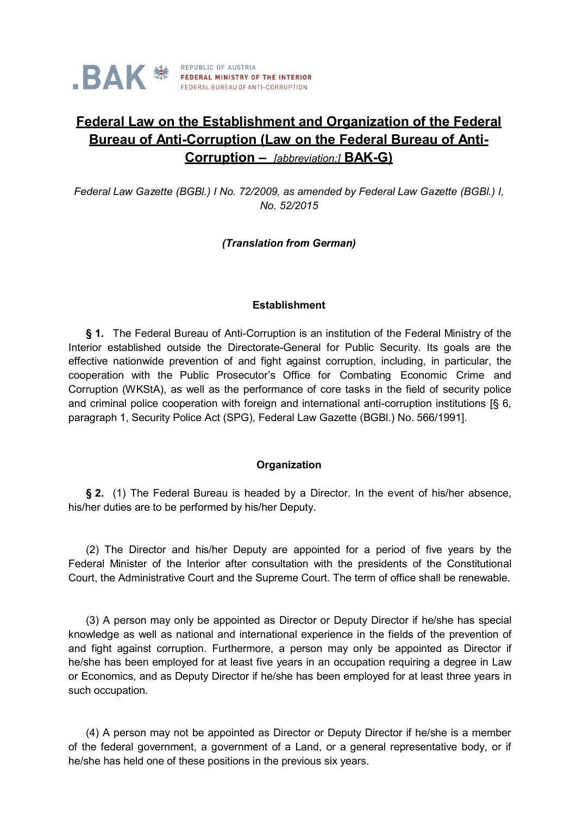# **Federal Law on the Establishment and Organization of the Federal Bureau of Anti-Corruption (Law on the Federal Bureau of Anti-Corruption –** *[abbreviation:]* **BAK-G)**

*Federal Law Gazette (BGBl.) I No. 72/2009, as amended by Federal Law Gazette (BGBl.) I, No. 52/2015*

# *(Translation from German)*

# **Establishment**

**§ 1.** The Federal Bureau of Anti-Corruption is an institution of the Federal Ministry of the Interior established outside the Directorate-General for Public Security. Its goals are the effective nationwide prevention of and fight against corruption, including, in particular, the cooperation with the Public Prosecutor's Office for Combating Economic Crime and Corruption (WKStA), as well as the performance of core tasks in the field of security police and criminal police cooperation with foreign and international anti-corruption institutions [§ 6, paragraph 1, Security Police Act (SPG), Federal Law Gazette (BGBl.) No. 566/1991].

# **Organization**

**§ 2.** (1) The Federal Bureau is headed by a Director. In the event of his/her absence, his/her duties are to be performed by his/her Deputy.

(2) The Director and his/her Deputy are appointed for a period of five years by the Federal Minister of the Interior after consultation with the presidents of the Constitutional Court, the Administrative Court and the Supreme Court. The term of office shall be renewable.

(3) A person may only be appointed as Director or Deputy Director if he/she has special knowledge as well as national and international experience in the fields of the prevention of and fight against corruption. Furthermore, a person may only be appointed as Director if he/she has been employed for at least five years in an occupation requiring a degree in Law or Economics, and as Deputy Director if he/she has been employed for at least three years in such occupation.

(4) A person may not be appointed as Director or Deputy Director if he/she is a member of the federal government, a government of a Land, or a general representative body, or if he/she has held one of these positions in the previous six years.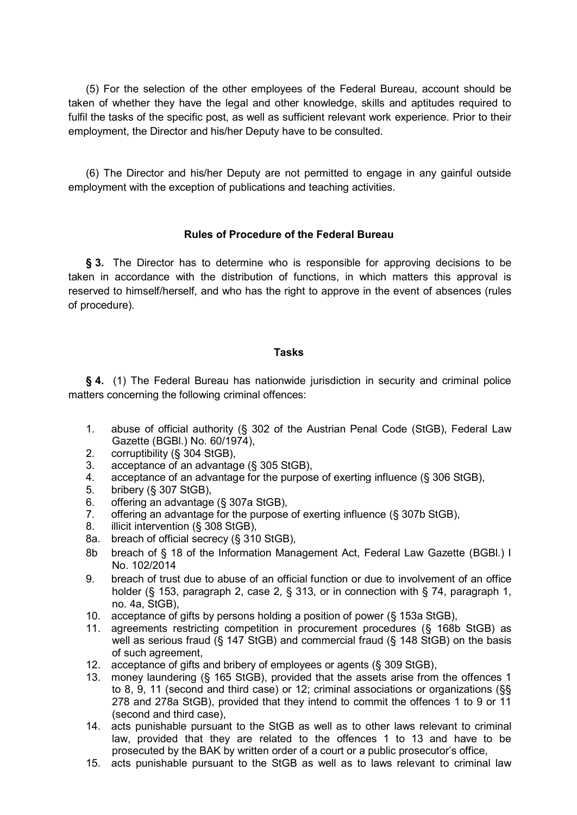(5) For the selection of the other employees of the Federal Bureau, account should be taken of whether they have the legal and other knowledge, skills and aptitudes required to fulfil the tasks of the specific post, as well as sufficient relevant work experience. Prior to their employment, the Director and his/her Deputy have to be consulted.

(6) The Director and his/her Deputy are not permitted to engage in any gainful outside employment with the exception of publications and teaching activities.

# **Rules of Procedure of the Federal Bureau**

**§ 3.** The Director has to determine who is responsible for approving decisions to be taken in accordance with the distribution of functions, in which matters this approval is reserved to himself/herself, and who has the right to approve in the event of absences (rules of procedure).

# **Tasks**

**§ 4.** (1) The Federal Bureau has nationwide jurisdiction in security and criminal police matters concerning the following criminal offences:

- 1. abuse of official authority (§ 302 of the Austrian Penal Code (StGB), Federal Law Gazette (BGBl.) No. 60/1974),
- 2. corruptibility (§ 304 StGB),
- 3. acceptance of an advantage (§ 305 StGB),
- 4. acceptance of an advantage for the purpose of exerting influence (§ 306 StGB),
- 5. bribery (§ 307 StGB),
- 6. offering an advantage (§ 307a StGB),
- 7. offering an advantage for the purpose of exerting influence (§ 307b StGB),
- 8. illicit intervention (§ 308 StGB),
- 8a. breach of official secrecy (§ 310 StGB),
- 8b breach of § 18 of the Information Management Act, Federal Law Gazette (BGBl.) I No. 102/2014
- 9. breach of trust due to abuse of an official function or due to involvement of an office holder (§ 153, paragraph 2, case 2, § 313, or in connection with § 74, paragraph 1, no. 4a, StGB),
- 10. acceptance of gifts by persons holding a position of power (§ 153a StGB),
- 11. agreements restricting competition in procurement procedures (§ 168b StGB) as well as serious fraud (§ 147 StGB) and commercial fraud (§ 148 StGB) on the basis of such agreement,
- 12. acceptance of gifts and bribery of employees or agents (§ 309 StGB),
- 13. money laundering (§ 165 StGB), provided that the assets arise from the offences 1 to 8, 9, 11 (second and third case) or 12; criminal associations or organizations (§§ 278 and 278a StGB), provided that they intend to commit the offences 1 to 9 or 11 (second and third case),
- 14. acts punishable pursuant to the StGB as well as to other laws relevant to criminal law, provided that they are related to the offences 1 to 13 and have to be prosecuted by the BAK by written order of a court or a public prosecutor's office,
- 15. acts punishable pursuant to the StGB as well as to laws relevant to criminal law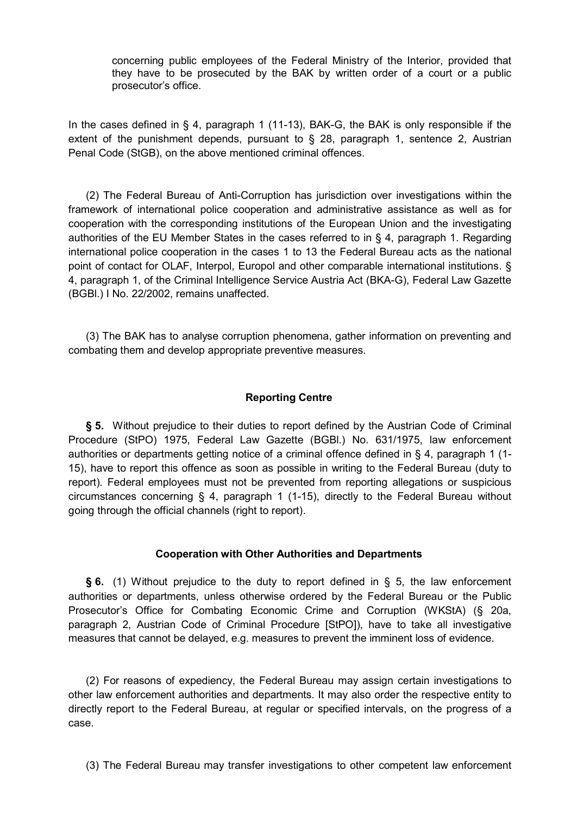concerning public employees of the Federal Ministry of the Interior, provided that they have to be prosecuted by the BAK by written order of a court or a public prosecutor's office.

In the cases defined in § 4, paragraph 1 (11-13), BAK-G, the BAK is only responsible if the extent of the punishment depends, pursuant to § 28, paragraph 1, sentence 2, Austrian Penal Code (StGB), on the above mentioned criminal offences.

(2) The Federal Bureau of Anti-Corruption has jurisdiction over investigations within the framework of international police cooperation and administrative assistance as well as for cooperation with the corresponding institutions of the European Union and the investigating authorities of the EU Member States in the cases referred to in § 4, paragraph 1. Regarding international police cooperation in the cases 1 to 13 the Federal Bureau acts as the national point of contact for OLAF, Interpol, Europol and other comparable international institutions. § 4, paragraph 1, of the Criminal Intelligence Service Austria Act (BKA-G), Federal Law Gazette (BGBl.) I No. 22/2002, remains unaffected.

(3) The BAK has to analyse corruption phenomena, gather information on preventing and combating them and develop appropriate preventive measures.

### **Reporting Centre**

**§ 5.** Without prejudice to their duties to report defined by the Austrian Code of Criminal Procedure (StPO) 1975, Federal Law Gazette (BGBl.) No. 631/1975, law enforcement authorities or departments getting notice of a criminal offence defined in § 4, paragraph 1 (1- 15), have to report this offence as soon as possible in writing to the Federal Bureau (duty to report). Federal employees must not be prevented from reporting allegations or suspicious circumstances concerning § 4, paragraph 1 (1-15), directly to the Federal Bureau without going through the official channels (right to report).

#### **Cooperation with Other Authorities and Departments**

**§ 6.** (1) Without prejudice to the duty to report defined in § 5, the law enforcement authorities or departments, unless otherwise ordered by the Federal Bureau or the Public Prosecutor's Office for Combating Economic Crime and Corruption (WKStA) (§ 20a, paragraph 2, Austrian Code of Criminal Procedure [StPO]), have to take all investigative measures that cannot be delayed, e.g. measures to prevent the imminent loss of evidence.

(2) For reasons of expediency, the Federal Bureau may assign certain investigations to other law enforcement authorities and departments. It may also order the respective entity to directly report to the Federal Bureau, at regular or specified intervals, on the progress of a case.

(3) The Federal Bureau may transfer investigations to other competent law enforcement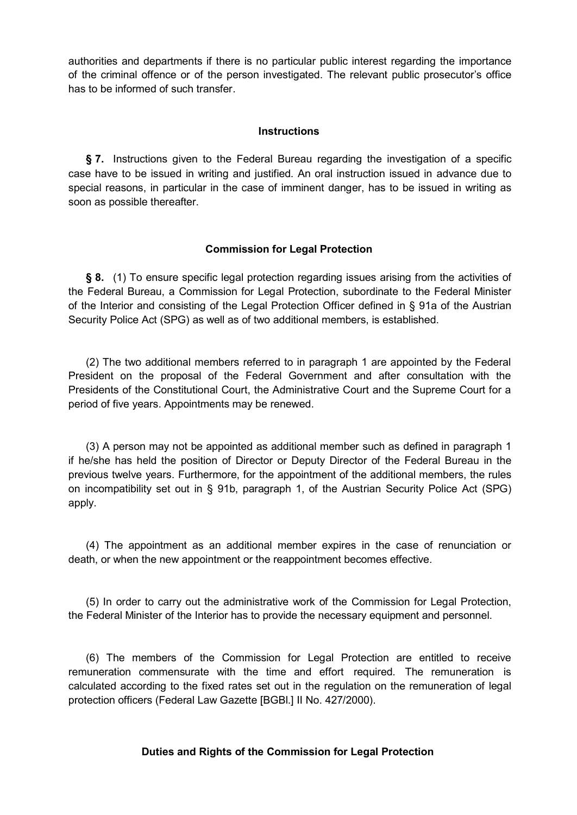authorities and departments if there is no particular public interest regarding the importance of the criminal offence or of the person investigated. The relevant public prosecutor's office has to be informed of such transfer.

### **Instructions**

**§ 7.** Instructions given to the Federal Bureau regarding the investigation of a specific case have to be issued in writing and justified. An oral instruction issued in advance due to special reasons, in particular in the case of imminent danger, has to be issued in writing as soon as possible thereafter.

# **Commission for Legal Protection**

**§ 8.** (1) To ensure specific legal protection regarding issues arising from the activities of the Federal Bureau, a Commission for Legal Protection, subordinate to the Federal Minister of the Interior and consisting of the Legal Protection Officer defined in § 91a of the Austrian Security Police Act (SPG) as well as of two additional members, is established.

(2) The two additional members referred to in paragraph 1 are appointed by the Federal President on the proposal of the Federal Government and after consultation with the Presidents of the Constitutional Court, the Administrative Court and the Supreme Court for a period of five years. Appointments may be renewed.

(3) A person may not be appointed as additional member such as defined in paragraph 1 if he/she has held the position of Director or Deputy Director of the Federal Bureau in the previous twelve years. Furthermore, for the appointment of the additional members, the rules on incompatibility set out in § 91b, paragraph 1, of the Austrian Security Police Act (SPG) apply.

(4) The appointment as an additional member expires in the case of renunciation or death, or when the new appointment or the reappointment becomes effective.

(5) In order to carry out the administrative work of the Commission for Legal Protection, the Federal Minister of the Interior has to provide the necessary equipment and personnel.

(6) The members of the Commission for Legal Protection are entitled to receive remuneration commensurate with the time and effort required. The remuneration is calculated according to the fixed rates set out in the regulation on the remuneration of legal protection officers (Federal Law Gazette [BGBl.] II No. 427/2000).

# **Duties and Rights of the Commission for Legal Protection**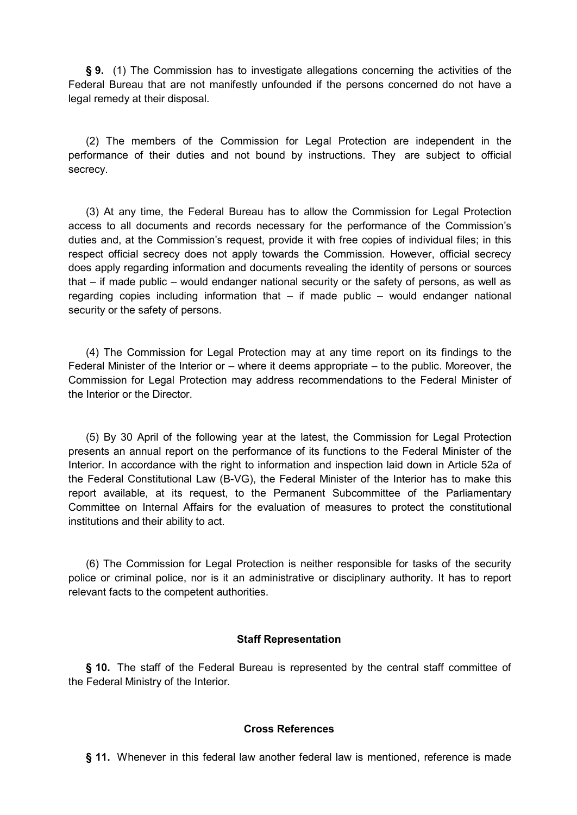**§ 9.** (1) The Commission has to investigate allegations concerning the activities of the Federal Bureau that are not manifestly unfounded if the persons concerned do not have a legal remedy at their disposal.

(2) The members of the Commission for Legal Protection are independent in the performance of their duties and not bound by instructions. They are subject to official secrecy.

(3) At any time, the Federal Bureau has to allow the Commission for Legal Protection access to all documents and records necessary for the performance of the Commission's duties and, at the Commission's request, provide it with free copies of individual files; in this respect official secrecy does not apply towards the Commission. However, official secrecy does apply regarding information and documents revealing the identity of persons or sources that – if made public – would endanger national security or the safety of persons, as well as regarding copies including information that  $-$  if made public  $-$  would endanger national security or the safety of persons.

(4) The Commission for Legal Protection may at any time report on its findings to the Federal Minister of the Interior or – where it deems appropriate – to the public. Moreover, the Commission for Legal Protection may address recommendations to the Federal Minister of the Interior or the Director.

(5) By 30 April of the following year at the latest, the Commission for Legal Protection presents an annual report on the performance of its functions to the Federal Minister of the Interior. In accordance with the right to information and inspection laid down in Article 52a of the Federal Constitutional Law (B-VG), the Federal Minister of the Interior has to make this report available, at its request, to the Permanent Subcommittee of the Parliamentary Committee on Internal Affairs for the evaluation of measures to protect the constitutional institutions and their ability to act.

(6) The Commission for Legal Protection is neither responsible for tasks of the security police or criminal police, nor is it an administrative or disciplinary authority. It has to report relevant facts to the competent authorities.

#### **Staff Representation**

**§ 10.** The staff of the Federal Bureau is represented by the central staff committee of the Federal Ministry of the Interior.

#### **Cross References**

**§ 11.** Whenever in this federal law another federal law is mentioned, reference is made